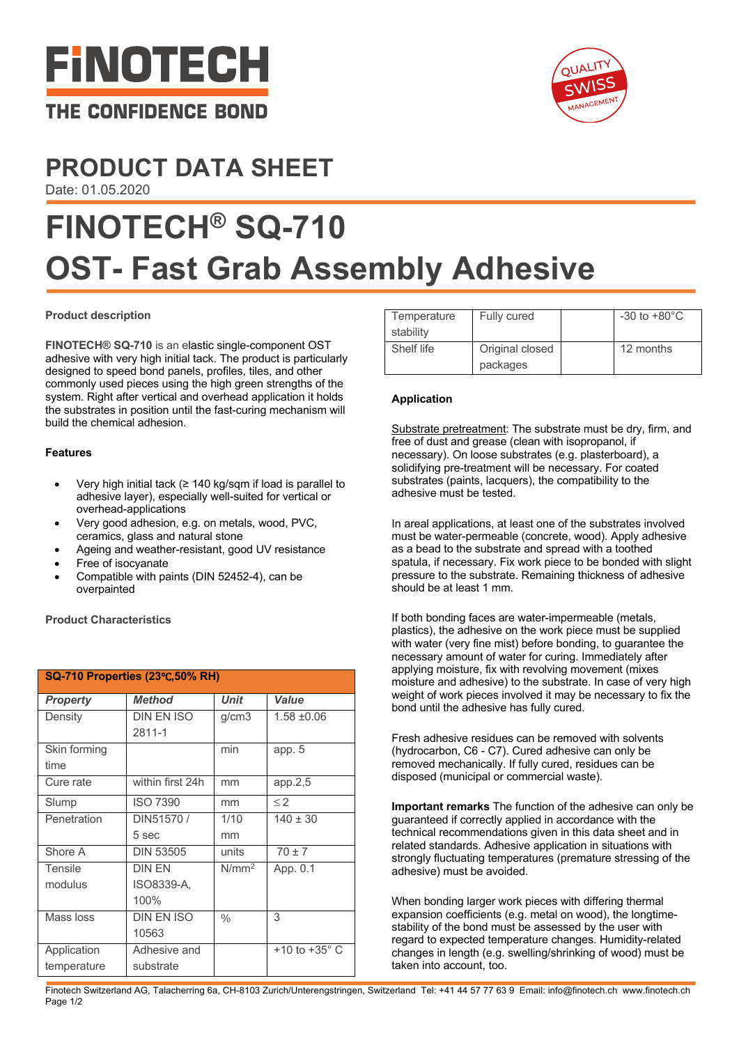



## **PRODUCT DATA SHEET**

Date: 01.05.2020

# **FINOTECH® SQ-710 OST- Fast Grab Assembly Adhesive**

## **Product description**

**FINOTECH® SQ-710** is an elastic single-component OST adhesive with very high initial tack. The product is particularly designed to speed bond panels, profiles, tiles, and other commonly used pieces using the high green strengths of the system. Right after vertical and overhead application it holds the substrates in position until the fast-curing mechanism will build the chemical adhesion.

## **Features**

- Very high initial tack (≥ 140 kg/sqm if load is parallel to adhesive layer), especially well-suited for vertical or overhead-applications
- Very good adhesion, e.g. on metals, wood, PVC, ceramics, glass and natural stone
- Ageing and weather-resistant, good UV resistance
- Free of isocyanate
- Compatible with paints (DIN 52452-4), can be overpainted

**Product Characteristics**

| <b>SQ-710 Properties (23°C,50% RH)</b> |                   |                   |               |  |
|----------------------------------------|-------------------|-------------------|---------------|--|
| <b>Property</b>                        | <b>Method</b>     | <b>Unit</b>       | Value         |  |
| Density                                | <b>DIN EN ISO</b> | g/cm3             | $1.58 + 0.06$ |  |
|                                        | 2811-1            |                   |               |  |
| Skin forming                           |                   | min               | app. $5$      |  |
| time                                   |                   |                   |               |  |
| Cure rate                              | within first 24h  | mm                | app.2,5       |  |
| Slump                                  | <b>ISO 7390</b>   | mm                | $\leq$ 2      |  |
| Penetration                            | DIN51570/         | 1/10              | $140 \pm 30$  |  |
|                                        | 5 sec             | mm                |               |  |
| Shore A                                | <b>DIN 53505</b>  | units             | $70 \pm 7$    |  |
| Tensile                                | <b>DIN EN</b>     | N/mm <sup>2</sup> | App. 0.1      |  |
| modulus                                | ISO8339-A,        |                   |               |  |
|                                        | 100%              |                   |               |  |
| Mass loss                              | <b>DIN EN ISO</b> | $\frac{0}{0}$     | 3             |  |
|                                        | 10563             |                   |               |  |
| Application                            | Adhesive and      |                   | +10 to +35° C |  |
| temperature                            | substrate         |                   |               |  |

| Temperature<br>stability | Fully cured                 | $-30$ to $+80^{\circ}$ C |
|--------------------------|-----------------------------|--------------------------|
| Shelf life               | Original closed<br>packages | 12 months                |

## **Application**

Substrate pretreatment: The substrate must be dry, firm, and free of dust and grease (clean with isopropanol, if necessary). On loose substrates (e.g. plasterboard), a solidifying pre-treatment will be necessary. For coated substrates (paints, lacquers), the compatibility to the adhesive must be tested.

In areal applications, at least one of the substrates involved must be water-permeable (concrete, wood). Apply adhesive as a bead to the substrate and spread with a toothed spatula, if necessary. Fix work piece to be bonded with slight pressure to the substrate. Remaining thickness of adhesive should be at least 1 mm.

If both bonding faces are water-impermeable (metals, plastics), the adhesive on the work piece must be supplied with water (very fine mist) before bonding, to guarantee the necessary amount of water for curing. Immediately after applying moisture, fix with revolving movement (mixes moisture and adhesive) to the substrate. In case of very high weight of work pieces involved it may be necessary to fix the bond until the adhesive has fully cured.

Fresh adhesive residues can be removed with solvents (hydrocarbon, C6 - C7). Cured adhesive can only be removed mechanically. If fully cured, residues can be disposed (municipal or commercial waste).

**Important remarks** The function of the adhesive can only be guaranteed if correctly applied in accordance with the technical recommendations given in this data sheet and in related standards. Adhesive application in situations with strongly fluctuating temperatures (premature stressing of the adhesive) must be avoided.

When bonding larger work pieces with differing thermal expansion coefficients (e.g. metal on wood), the longtimestability of the bond must be assessed by the user with regard to expected temperature changes. Humidity-related changes in length (e.g. swelling/shrinking of wood) must be taken into account, too.

Finotech Switzerland AG, Talacherring 6a, CH-8103 Zurich/Unterengstringen, Switzerland Tel: +41 44 57 77 63 9 Email: info@finotech.ch www.finotech.ch Page 1/2